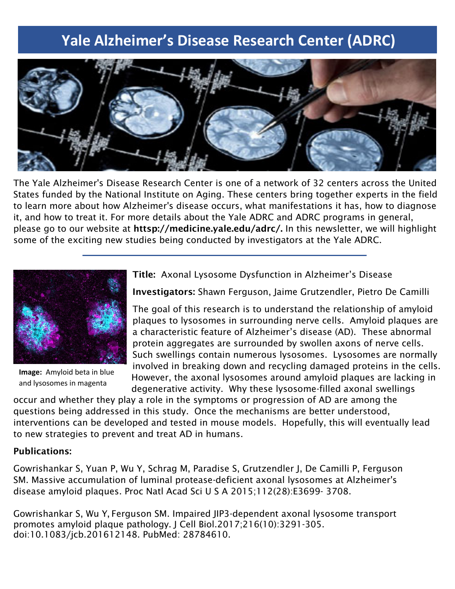# **Yale Alzheimer's Disease Research Center (ADRC)**



The Yale Alzheimer's Disease Research Center is one of a network of 32 centers across the United States funded by the National Institute on Aging. These centers bring together experts in the field to learn more about how Alzheimer's disease occurs, what manifestations it has, how to diagnose it, and how to treat it. For more details about the Yale ADRC and ADRC programs in general, please go to our website at httsp://medicine.yale.edu/adrc/. In this newsletter, we will highlight some of the exciting new studies being conducted by investigators at the Yale ADRC.



**Image:** Amyloid beta in blue and lysosomes in magenta

Title: Axonal Lysosome Dysfunction in Alzheimer's Disease

Investigators: Shawn Ferguson, Jaime Grutzendler, Pietro De Camilli

The goal of this research is to understand the relationship of amyloid plaques to lysosomes in surrounding nerve cells. Amyloid plaques are a characteristic feature of Alzheimer's disease (AD). These abnormal protein aggregates are surrounded by swollen axons of nerve cells. Such swellings contain numerous lysosomes. Lysosomes are normally involved in breaking down and recycling damaged proteins in the cells. However, the axonal lysosomes around amyloid plaques are lacking in degenerative activity. Why these lysosome-filled axonal swellings

occur and whether they play a role in the symptoms or progression of AD are among the questions being addressed in this study. Once the mechanisms are better understood, interventions can be developed and tested in mouse models. Hopefully, this will eventually lead to new strategies to prevent and treat AD in humans.

### Publications:

Gowrishankar S, Yuan P, Wu Y, Schrag M, Paradise S, Grutzendler J, De Camilli P, Ferguson SM. Massive accumulation of luminal protease-deficient axonal lysosomes at Alzheimer's disease amyloid plaques. Proc Natl Acad Sci U S A 2015;112(28):E3699- 3708.

Gowrishankar S, Wu Y, Ferguson SM. Impaired JIP3-dependent axonal lysosome transport promotes amyloid plaque pathology. J Cell Biol.2017;216(10):3291-305. doi:10.1083/jcb.201612148. PubMed: 28784610.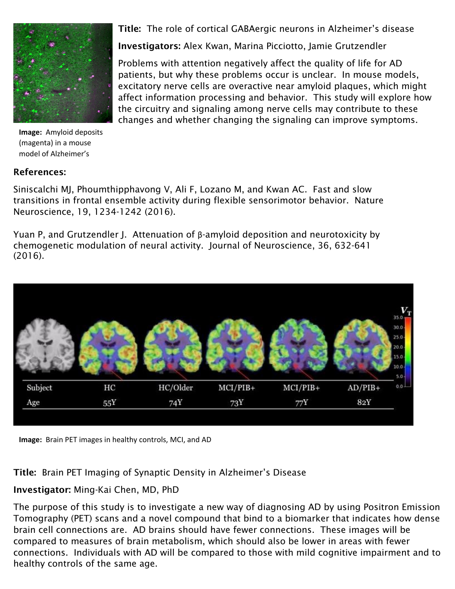

**Image:** Amyloid deposits (magenta) in a mouse model of Alzheimer's

### References:

Title: The role of cortical GABAergic neurons in Alzheimer's disease

Investigators: Alex Kwan, Marina Picciotto, Jamie Grutzendler

Problems with attention negatively affect the quality of life for AD patients, but why these problems occur is unclear. In mouse models, excitatory nerve cells are overactive near amyloid plaques, which might affect information processing and behavior. This study will explore how the circuitry and signaling among nerve cells may contribute to these changes and whether changing the signaling can improve symptoms.

Siniscalchi MJ, Phoumthipphavong V, Ali F, Lozano M, and Kwan AC. Fast and slow transitions in frontal ensemble activity during flexible sensorimotor behavior. Nature Neuroscience, 19, 1234-1242 (2016).

Yuan P, and Grutzendler J. Attenuation of β-amyloid deposition and neurotoxicity by chemogenetic modulation of neural activity. Journal of Neuroscience, 36, 632-641 (2016).



**Image:** Brain PET images in healthy controls, MCI, and AD

Title: Brain PET Imaging of Synaptic Density in Alzheimer's Disease

## Investigator: Ming-Kai Chen, MD, PhD

The purpose of this study is to investigate a new way of diagnosing AD by using Positron Emission Tomography (PET) scans and a novel compound that bind to a biomarker that indicates how dense brain cell connections are. AD brains should have fewer connections. These images will be compared to measures of brain metabolism, which should also be lower in areas with fewer connections. Individuals with AD will be compared to those with mild cognitive impairment and to healthy controls of the same age.